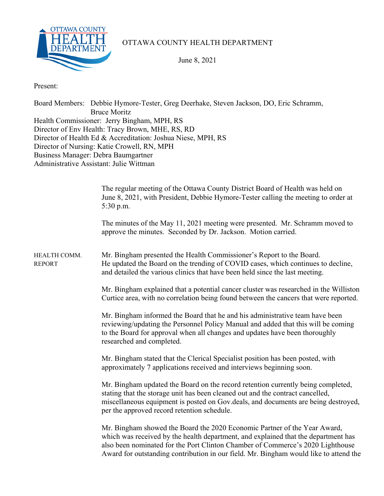

## OTTAWA COUNTY HEALTH DEPARTMENT

June 8, 2021

Present:

Board Members: Debbie Hymore-Tester, Greg Deerhake, Steven Jackson, DO, Eric Schramm, Bruce Moritz Health Commissioner: Jerry Bingham, MPH, RS Director of Env Health: Tracy Brown, MHE, RS, RD Director of Health Ed & Accreditation: Joshua Niese, MPH, RS Director of Nursing: Katie Crowell, RN, MPH Business Manager: Debra Baumgartner Administrative Assistant: Julie Wittman

|                               | The regular meeting of the Ottawa County District Board of Health was held on<br>June 8, 2021, with President, Debbie Hymore-Tester calling the meeting to order at<br>5:30 p.m.                                                                                                                                                           |
|-------------------------------|--------------------------------------------------------------------------------------------------------------------------------------------------------------------------------------------------------------------------------------------------------------------------------------------------------------------------------------------|
|                               | The minutes of the May 11, 2021 meeting were presented. Mr. Schramm moved to<br>approve the minutes. Seconded by Dr. Jackson. Motion carried.                                                                                                                                                                                              |
| HEALTH COMM.<br><b>REPORT</b> | Mr. Bingham presented the Health Commissioner's Report to the Board.<br>He updated the Board on the trending of COVID cases, which continues to decline,<br>and detailed the various clinics that have been held since the last meeting.                                                                                                   |
|                               | Mr. Bingham explained that a potential cancer cluster was researched in the Williston<br>Curtice area, with no correlation being found between the cancers that were reported.                                                                                                                                                             |
|                               | Mr. Bingham informed the Board that he and his administrative team have been<br>reviewing/updating the Personnel Policy Manual and added that this will be coming<br>to the Board for approval when all changes and updates have been thoroughly<br>researched and completed.                                                              |
|                               | Mr. Bingham stated that the Clerical Specialist position has been posted, with<br>approximately 7 applications received and interviews beginning soon.                                                                                                                                                                                     |
|                               | Mr. Bingham updated the Board on the record retention currently being completed,<br>stating that the storage unit has been cleaned out and the contract cancelled,<br>miscellaneous equipment is posted on Gov.deals, and documents are being destroyed,<br>per the approved record retention schedule.                                    |
|                               | Mr. Bingham showed the Board the 2020 Economic Partner of the Year Award,<br>which was received by the health department, and explained that the department has<br>also been nominated for the Port Clinton Chamber of Commerce's 2020 Lighthouse<br>Award for outstanding contribution in our field. Mr. Bingham would like to attend the |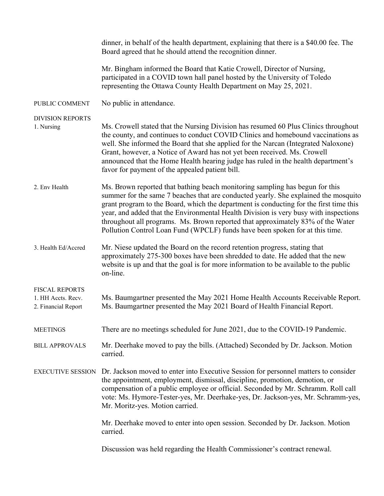|                                                                    | dinner, in behalf of the health department, explaining that there is a \$40.00 fee. The<br>Board agreed that he should attend the recognition dinner.                                                                                                                                                                                                                                                                                                                                                                    |
|--------------------------------------------------------------------|--------------------------------------------------------------------------------------------------------------------------------------------------------------------------------------------------------------------------------------------------------------------------------------------------------------------------------------------------------------------------------------------------------------------------------------------------------------------------------------------------------------------------|
|                                                                    | Mr. Bingham informed the Board that Katie Crowell, Director of Nursing,<br>participated in a COVID town hall panel hosted by the University of Toledo<br>representing the Ottawa County Health Department on May 25, 2021.                                                                                                                                                                                                                                                                                               |
| PUBLIC COMMENT                                                     | No public in attendance.                                                                                                                                                                                                                                                                                                                                                                                                                                                                                                 |
| <b>DIVISION REPORTS</b><br>1. Nursing                              | Ms. Crowell stated that the Nursing Division has resumed 60 Plus Clinics throughout<br>the county, and continues to conduct COVID Clinics and homebound vaccinations as<br>well. She informed the Board that she applied for the Narcan (Integrated Naloxone)<br>Grant, however, a Notice of Award has not yet been received. Ms. Crowell<br>announced that the Home Health hearing judge has ruled in the health department's<br>favor for payment of the appealed patient bill.                                        |
| 2. Env Health                                                      | Ms. Brown reported that bathing beach monitoring sampling has begun for this<br>summer for the same 7 beaches that are conducted yearly. She explained the mosquito<br>grant program to the Board, which the department is conducting for the first time this<br>year, and added that the Environmental Health Division is very busy with inspections<br>throughout all programs. Ms. Brown reported that approximately 83% of the Water<br>Pollution Control Loan Fund (WPCLF) funds have been spoken for at this time. |
| 3. Health Ed/Accred                                                | Mr. Niese updated the Board on the record retention progress, stating that<br>approximately 275-300 boxes have been shredded to date. He added that the new<br>website is up and that the goal is for more information to be available to the public<br>on-line.                                                                                                                                                                                                                                                         |
| <b>FISCAL REPORTS</b><br>1. HH Accts. Recv.<br>2. Financial Report | Ms. Baumgartner presented the May 2021 Home Health Accounts Receivable Report.<br>Ms. Baumgartner presented the May 2021 Board of Health Financial Report.                                                                                                                                                                                                                                                                                                                                                               |
| <b>MEETINGS</b>                                                    | There are no meetings scheduled for June 2021, due to the COVID-19 Pandemic.                                                                                                                                                                                                                                                                                                                                                                                                                                             |
| <b>BILL APPROVALS</b>                                              | Mr. Deerhake moved to pay the bills. (Attached) Seconded by Dr. Jackson. Motion<br>carried.                                                                                                                                                                                                                                                                                                                                                                                                                              |
| <b>EXECUTIVE SESSION</b>                                           | Dr. Jackson moved to enter into Executive Session for personnel matters to consider<br>the appointment, employment, dismissal, discipline, promotion, demotion, or<br>compensation of a public employee or official. Seconded by Mr. Schramm. Roll call<br>vote: Ms. Hymore-Tester-yes, Mr. Deerhake-yes, Dr. Jackson-yes, Mr. Schramm-yes,<br>Mr. Moritz-yes. Motion carried.                                                                                                                                           |
|                                                                    | Mr. Deerhake moved to enter into open session. Seconded by Dr. Jackson. Motion<br>carried.                                                                                                                                                                                                                                                                                                                                                                                                                               |
|                                                                    | Discussion was held regarding the Health Commissioner's contract renewal.                                                                                                                                                                                                                                                                                                                                                                                                                                                |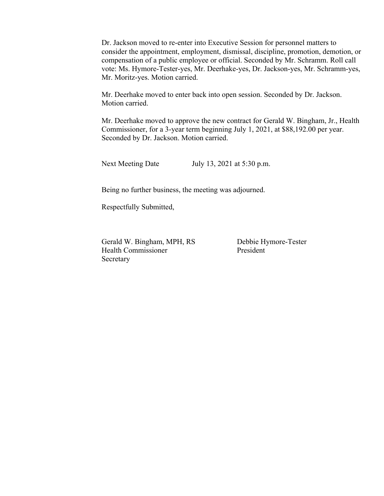Dr. Jackson moved to re-enter into Executive Session for personnel matters to consider the appointment, employment, dismissal, discipline, promotion, demotion, or compensation of a public employee or official. Seconded by Mr. Schramm. Roll call vote: Ms. Hymore-Tester-yes, Mr. Deerhake-yes, Dr. Jackson-yes, Mr. Schramm-yes, Mr. Moritz-yes. Motion carried.

Mr. Deerhake moved to enter back into open session. Seconded by Dr. Jackson. Motion carried.

Mr. Deerhake moved to approve the new contract for Gerald W. Bingham, Jr., Health Commissioner, for a 3-year term beginning July 1, 2021, at \$88,192.00 per year. Seconded by Dr. Jackson. Motion carried.

Next Meeting Date July 13, 2021 at 5:30 p.m.

Being no further business, the meeting was adjourned.

Respectfully Submitted,

Gerald W. Bingham, MPH, RS Debbie Hymore-Tester Health Commissioner President Secretary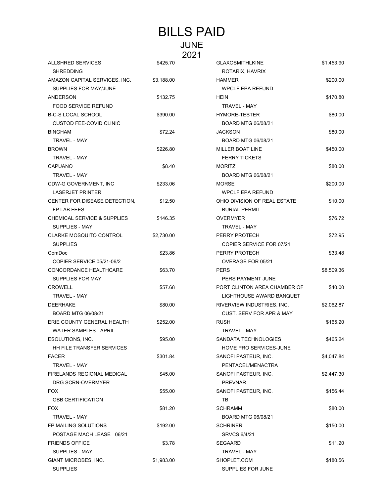## BILLS PAID

## JUNE

## 2021

| <b>ALLSHRED SERVICES</b>               | \$425.70   | <b>GLAXOSMITHLKINE</b>              | \$1,453.90 |
|----------------------------------------|------------|-------------------------------------|------------|
| <b>SHREDDING</b>                       |            | ROTARIX, HAVRIX                     |            |
| AMAZON CAPITAL SERVICES, INC.          | \$3,188.00 | <b>HAMMER</b>                       | \$200.00   |
| SUPPLIES FOR MAY/JUNE                  |            | <b>WPCLF EPA REFUND</b>             |            |
| ANDERSON                               | \$132.75   | <b>HEIN</b>                         | \$170.80   |
| <b>FOOD SERVICE REFUND</b>             |            | <b>TRAVEL - MAY</b>                 |            |
| <b>B-C-S LOCAL SCHOOL</b>              | \$390.00   | <b>HYMORE-TESTER</b>                | \$80.00    |
| <b>CUSTOD FEE-COVID CLINIC</b>         |            | BOARD MTG 06/08/21                  |            |
| <b>BINGHAM</b>                         | \$72.24    | <b>JACKSON</b>                      | \$80.00    |
| <b>TRAVEL - MAY</b>                    |            | BOARD MTG 06/08/21                  |            |
| <b>BROWN</b>                           | \$226.80   | <b>MILLER BOAT LINE</b>             | \$450.00   |
| <b>TRAVEL - MAY</b>                    |            | <b>FERRY TICKETS</b>                |            |
| <b>CAPUANO</b>                         | \$8.40     | <b>MORITZ</b>                       | \$80.00    |
| TRAVEL - MAY                           |            | BOARD MTG 06/08/21                  |            |
| CDW-G GOVERNMENT, INC                  | \$233.06   | <b>MORSE</b>                        | \$200.00   |
| LASERJET PRINTER                       |            | <b>WPCLF EPA REFUND</b>             |            |
| CENTER FOR DISEASE DETECTION.          | \$12.50    | OHIO DIVISION OF REAL ESTATE        | \$10.00    |
| FP LAB FEES                            |            | <b>BURIAL PERMIT</b>                |            |
| <b>CHEMICAL SERVICE &amp; SUPPLIES</b> | \$146.35   | <b>OVERMYER</b>                     | \$76.72    |
| SUPPLIES - MAY                         |            | TRAVEL - MAY                        |            |
| <b>CLARKE MOSQUITO CONTROL</b>         | \$2.730.00 | PERRY PROTECH                       | \$72.95    |
| <b>SUPPLIES</b>                        |            | COPIER SERVICE FOR 07/21            |            |
| ComDoc                                 | \$23.86    | PERRY PROTECH                       | \$33.48    |
| COPIER SERVICE 05/21-06/2              |            | OVERAGE FOR 05/21                   |            |
| CONCORDANCE HEALTHCARE                 | \$63.70    | <b>PERS</b>                         | \$8,509.36 |
| SUPPLIES FOR MAY                       |            | PERS PAYMENT JUNE                   |            |
| <b>CROWELL</b>                         | \$57.68    | PORT CLINTON AREA CHAMBER OF        | \$40.00    |
| <b>TRAVEL - MAY</b>                    |            | LIGHTHOUSE AWARD BANQUET            |            |
| <b>DEERHAKE</b>                        | \$80.00    | RIVERVIEW INDUSTRIES, INC.          | \$2,062.87 |
| BOARD MTG 06/08/21                     |            | <b>CUST. SERV FOR APR &amp; MAY</b> |            |
| ERIE COUNTY GENERAL HEALTH             | \$252.00   | <b>RUSH</b>                         | \$165.20   |
| <b>WATER SAMPLES - APRIL</b>           |            | <b>TRAVEL - MAY</b>                 |            |
| ESOLUTIONS, INC.                       | \$95.00    | SANDATA TECHNOLOGIES                | \$465.24   |
| HH FILE TRANSFER SERVICES              |            | <b>HOME PRO SERVICES-JUNE</b>       |            |
| <b>FACER</b>                           | \$301.84   | SANOFI PASTEUR, INC.                | \$4,047.84 |
| TRAVEL - MAY                           |            | PENTACEL/MENACTRA                   |            |
| FIRELANDS REGIONAL MEDICAL             | \$45.00    | SANOFI PASTEUR, INC.                | \$2,447.30 |
| DRG SCRN-OVERMYER                      |            | <b>PREVNAR</b>                      |            |
| <b>FOX</b>                             | \$55.00    | SANOFI PASTEUR, INC.                | \$156.44   |
| <b>OBB CERTIFICATION</b>               |            | TВ                                  |            |
| <b>FOX</b>                             | \$81.20    | <b>SCHRAMM</b>                      | \$80.00    |
| TRAVEL - MAY                           |            | BOARD MTG 06/08/21                  |            |
| FP MAILING SOLUTIONS                   | \$192.00   | <b>SCHRINER</b>                     | \$150.00   |
| POSTAGE MACH LEASE 06/21               |            | SRVCS 6/4/21                        |            |
| <b>FRIENDS OFFICE</b>                  | \$3.78     | <b>SEGAARD</b>                      | \$11.20    |
| SUPPLIES - MAY                         |            | TRAVEL - MAY                        |            |
| GIANT MICROBES, INC.                   | \$1,983.00 | SHOPLET.COM                         | \$180.56   |
| <b>SUPPLIES</b>                        |            | SUPPLIES FOR JUNE                   |            |

| <b>GLAXOSMITHLKINE</b>              | \$1,453.90 |
|-------------------------------------|------------|
| ROTARIX, HAVRIX                     |            |
| <b>HAMMER</b>                       | \$200.00   |
| <b>WPCLE FPA REFUND</b>             |            |
| HEIN                                | \$170.80   |
| <b>TRAVEL - MAY</b>                 |            |
| <b>HYMORE-TESTER</b>                | \$80.00    |
| BOARD MTG 06/08/21                  |            |
| JACKSON                             | \$80.00    |
| BOARD MTG 06/08/21                  |            |
| <b>MILLER BOAT LINE</b>             | \$450.00   |
| <b>FERRY TICKETS</b>                |            |
| <b>MORITZ</b>                       | \$80.00    |
| BOARD MTG 06/08/21                  |            |
| <b>MORSE</b>                        | \$200.00   |
| <b>WPCLF EPA REFUND</b>             |            |
| OHIO DIVISION OF REAL ESTATE        | \$10.00    |
| <b>BURIAL PERMIT</b>                |            |
| <b>OVERMYER</b>                     | \$76.72    |
| <b>TRAVEL - MAY</b>                 |            |
| PERRY PROTECH                       | \$72.95    |
| COPIER SERVICE FOR 07/21            |            |
| PERRY PROTECH                       | \$33.48    |
| OVERAGE FOR 05/21                   |            |
| PERS                                | \$8,509.36 |
| PERS PAYMENT JUNE                   |            |
| PORT CLINTON AREA CHAMBER OF        | \$40.00    |
| LIGHTHOUSE AWARD BANQUET            |            |
| RIVERVIEW INDUSTRIES, INC.          | \$2,062.87 |
| <b>CUST. SERV FOR APR &amp; MAY</b> |            |
| <b>RUSH</b>                         | \$165.20   |
| <b>TRAVEL - MAY</b>                 |            |
| SANDATA TECHNOLOGIES                | \$465.24   |
| <b>HOME PRO SERVICES-JUNE</b>       |            |
| SANOFI PASTEUR. INC.                | \$4,047.84 |
| PENTACEL/MENACTRA                   |            |
| SANOFI PASTEUR, INC.                | \$2,447.30 |
| <b>PREVNAR</b>                      |            |
| SANOFI PASTEUR, INC.                | \$156.44   |
| тв                                  |            |
| SCHRAMM                             | \$80.00    |
| BOARD MTG 06/08/21                  |            |
| <b>SCHRINER</b>                     | \$150.00   |
| <b>SRVCS 6/4/21</b>                 |            |
| <b>SEGAARD</b>                      | \$11.20    |
| TRAVEL - MAY                        |            |
| SHOPLET.COM                         | \$180.56   |

SUPPLIES FOR JUNE